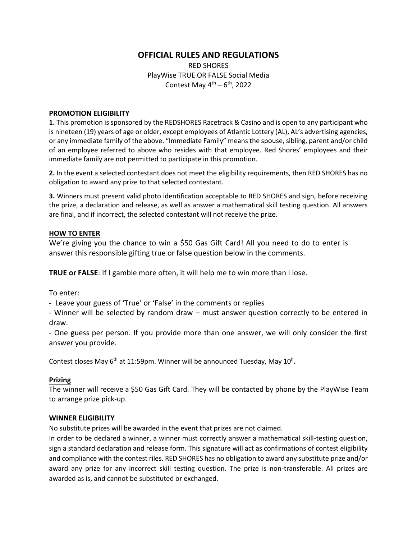# **OFFICIAL RULES AND REGULATIONS**

RED SHORES PlayWise TRUE OR FALSE Social Media Contest May  $4^{\text{th}} - 6^{\text{th}}$ , 2022

#### **PROMOTION ELIGIBILITY**

**1.** This promotion is sponsored by the REDSHORES Racetrack & Casino and is open to any participant who is nineteen (19) years of age or older, except employees of Atlantic Lottery (AL), AL's advertising agencies, or any immediate family of the above. "Immediate Family" means the spouse, sibling, parent and/or child of an employee referred to above who resides with that employee. Red Shores' employees and their immediate family are not permitted to participate in this promotion.

**2.** In the event a selected contestant does not meet the eligibility requirements, then RED SHORES has no obligation to award any prize to that selected contestant.

**3.** Winners must present valid photo identification acceptable to RED SHORES and sign, before receiving the prize, a declaration and release, as well as answer a mathematical skill testing question. All answers are final, and if incorrect, the selected contestant will not receive the prize.

## **HOW TO ENTER**

We're giving you the chance to win a \$50 Gas Gift Card! All you need to do to enter is answer this responsible gifting true or false question below in the comments.

**TRUE or FALSE**: If I gamble more often, it will help me to win more than I lose.

To enter:

- Leave your guess of 'True' or 'False' in the comments or replies

- Winner will be selected by random draw – must answer question correctly to be entered in draw.

- One guess per person. If you provide more than one answer, we will only consider the first answer you provide.

Contest closes May 6<sup>th</sup> at 11:59pm. Winner will be announced Tuesday, May 10<sup>h</sup>.

# **Prizing**

The winner will receive a \$50 Gas Gift Card. They will be contacted by phone by the PlayWise Team to arrange prize pick-up.

## **WINNER ELIGIBILITY**

No substitute prizes will be awarded in the event that prizes are not claimed.

In order to be declared a winner, a winner must correctly answer a mathematical skill-testing question, sign a standard declaration and release form. This signature will act as confirmations of contest eligibility and compliance with the contest riles. RED SHORES has no obligation to award any substitute prize and/or award any prize for any incorrect skill testing question. The prize is non-transferable. All prizes are awarded as is, and cannot be substituted or exchanged.